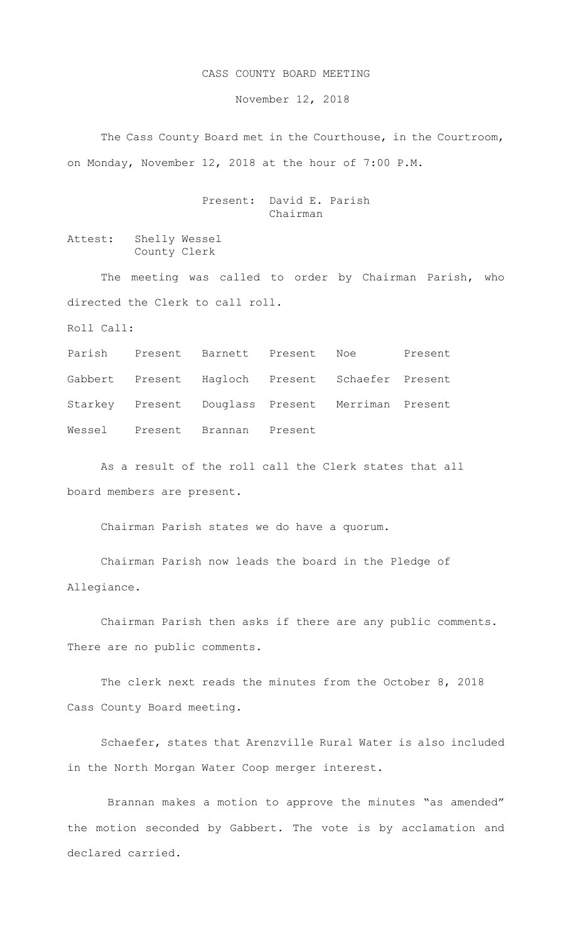## CASS COUNTY BOARD MEETING

November 12, 2018

 The Cass County Board met in the Courthouse, in the Courtroom, on Monday, November 12, 2018 at the hour of 7:00 P.M.

## Present: David E. Parish Chairman

Attest: Shelly Wessel County Clerk

The meeting was called to order by Chairman Parish, who directed the Clerk to call roll.

Roll Call:

Parish Present Barnett Present Noe Present Gabbert Present Hagloch Present Schaefer Present Starkey Present Douglass Present Merriman Present Wessel Present Brannan Present

As a result of the roll call the Clerk states that all board members are present.

Chairman Parish states we do have a quorum.

Chairman Parish now leads the board in the Pledge of Allegiance.

Chairman Parish then asks if there are any public comments. There are no public comments.

The clerk next reads the minutes from the October 8, 2018 Cass County Board meeting.

Schaefer, states that Arenzville Rural Water is also included in the North Morgan Water Coop merger interest.

Brannan makes a motion to approve the minutes "as amended" the motion seconded by Gabbert. The vote is by acclamation and declared carried.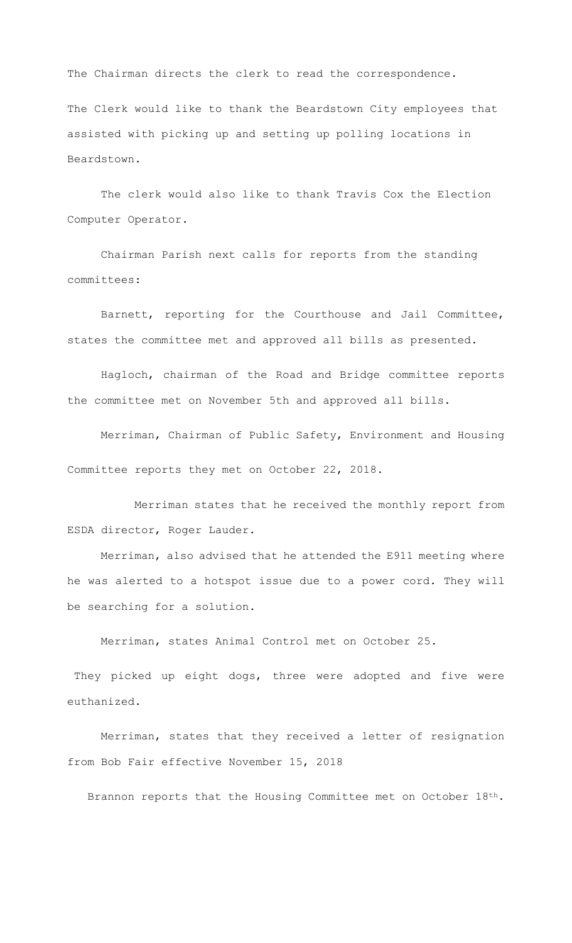The Chairman directs the clerk to read the correspondence.

The Clerk would like to thank the Beardstown City employees that assisted with picking up and setting up polling locations in Beardstown.

The clerk would also like to thank Travis Cox the Election Computer Operator.

Chairman Parish next calls for reports from the standing committees:

Barnett, reporting for the Courthouse and Jail Committee, states the committee met and approved all bills as presented.

Hagloch, chairman of the Road and Bridge committee reports the committee met on November 5th and approved all bills.

Merriman, Chairman of Public Safety, Environment and Housing Committee reports they met on October 22, 2018.

Merriman states that he received the monthly report from ESDA director, Roger Lauder.

Merriman, also advised that he attended the E911 meeting where he was alerted to a hotspot issue due to a power cord. They will be searching for a solution.

Merriman, states Animal Control met on October 25.

They picked up eight dogs, three were adopted and five were euthanized.

Merriman, states that they received a letter of resignation from Bob Fair effective November 15, 2018

Brannon reports that the Housing Committee met on October 18th.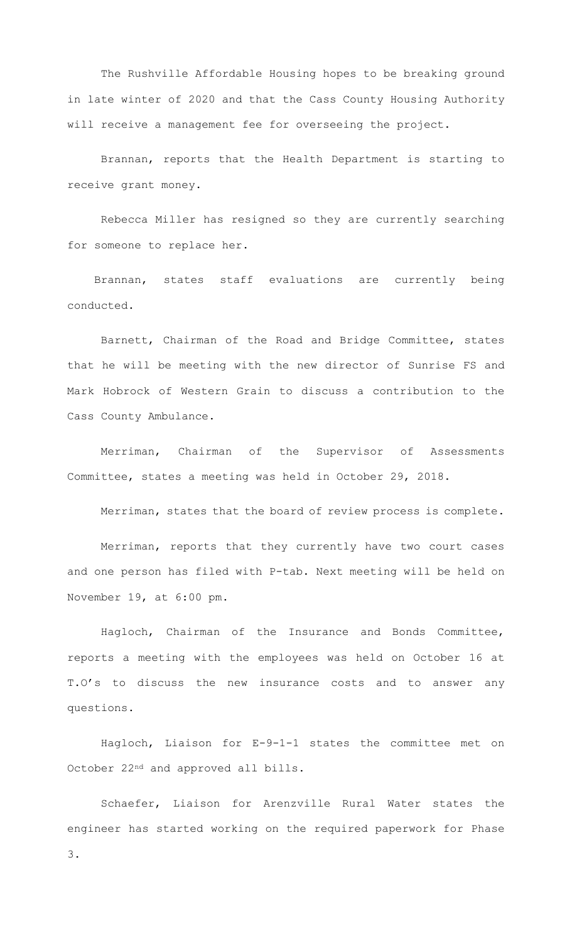The Rushville Affordable Housing hopes to be breaking ground in late winter of 2020 and that the Cass County Housing Authority will receive a management fee for overseeing the project.

Brannan, reports that the Health Department is starting to receive grant money.

 Rebecca Miller has resigned so they are currently searching for someone to replace her.

 Brannan, states staff evaluations are currently being conducted.

Barnett, Chairman of the Road and Bridge Committee, states that he will be meeting with the new director of Sunrise FS and Mark Hobrock of Western Grain to discuss a contribution to the Cass County Ambulance.

 Merriman, Chairman of the Supervisor of Assessments Committee, states a meeting was held in October 29, 2018.

Merriman, states that the board of review process is complete.

Merriman, reports that they currently have two court cases and one person has filed with P-tab. Next meeting will be held on November 19, at 6:00 pm.

Hagloch, Chairman of the Insurance and Bonds Committee, reports a meeting with the employees was held on October 16 at T.O's to discuss the new insurance costs and to answer any questions.

Hagloch, Liaison for E-9-1-1 states the committee met on October 22nd and approved all bills.

Schaefer, Liaison for Arenzville Rural Water states the engineer has started working on the required paperwork for Phase 3.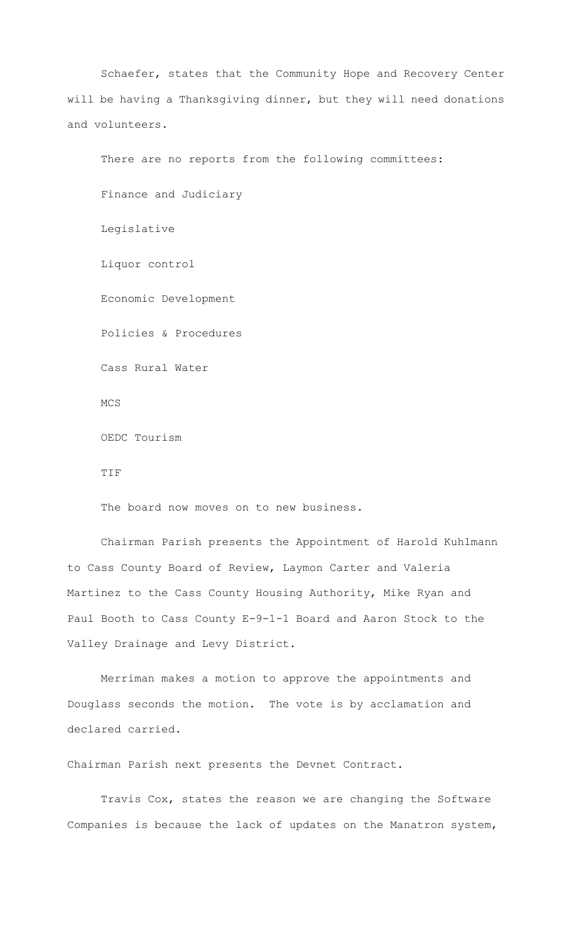Schaefer, states that the Community Hope and Recovery Center will be having a Thanksgiving dinner, but they will need donations and volunteers.

There are no reports from the following committees: Finance and Judiciary Legislative Liquor control Economic Development Policies & Procedures Cass Rural Water MCS OEDC Tourism TIF

The board now moves on to new business.

Chairman Parish presents the Appointment of Harold Kuhlmann to Cass County Board of Review, Laymon Carter and Valeria Martinez to the Cass County Housing Authority, Mike Ryan and Paul Booth to Cass County E-9-1-1 Board and Aaron Stock to the Valley Drainage and Levy District.

Merriman makes a motion to approve the appointments and Douglass seconds the motion. The vote is by acclamation and declared carried.

Chairman Parish next presents the Devnet Contract.

Travis Cox, states the reason we are changing the Software Companies is because the lack of updates on the Manatron system,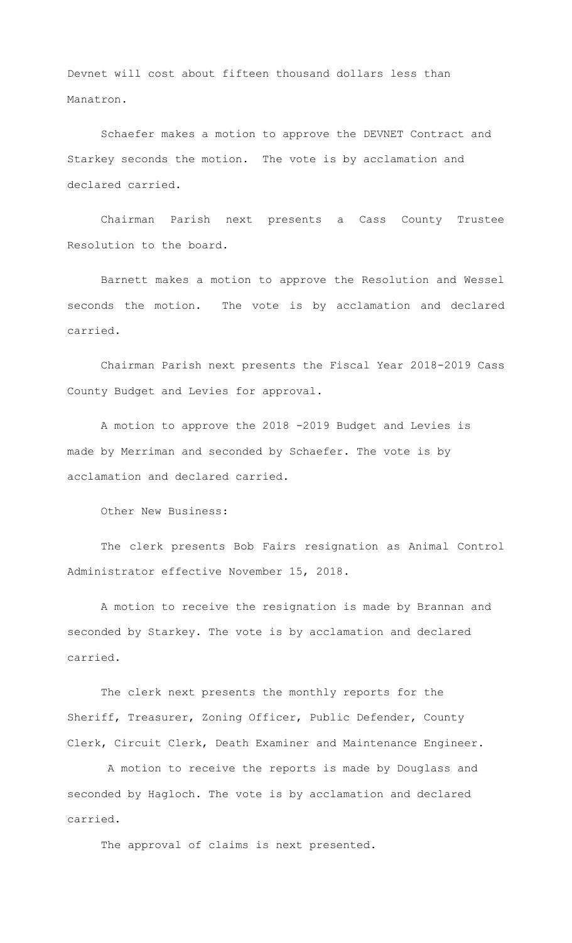Devnet will cost about fifteen thousand dollars less than Manatron.

Schaefer makes a motion to approve the DEVNET Contract and Starkey seconds the motion. The vote is by acclamation and declared carried.

Chairman Parish next presents a Cass County Trustee Resolution to the board.

Barnett makes a motion to approve the Resolution and Wessel seconds the motion. The vote is by acclamation and declared carried.

Chairman Parish next presents the Fiscal Year 2018-2019 Cass County Budget and Levies for approval.

A motion to approve the 2018 -2019 Budget and Levies is made by Merriman and seconded by Schaefer. The vote is by acclamation and declared carried.

Other New Business:

The clerk presents Bob Fairs resignation as Animal Control Administrator effective November 15, 2018.

A motion to receive the resignation is made by Brannan and seconded by Starkey. The vote is by acclamation and declared carried.

The clerk next presents the monthly reports for the Sheriff, Treasurer, Zoning Officer, Public Defender, County Clerk, Circuit Clerk, Death Examiner and Maintenance Engineer.

A motion to receive the reports is made by Douglass and seconded by Hagloch. The vote is by acclamation and declared carried.

The approval of claims is next presented.